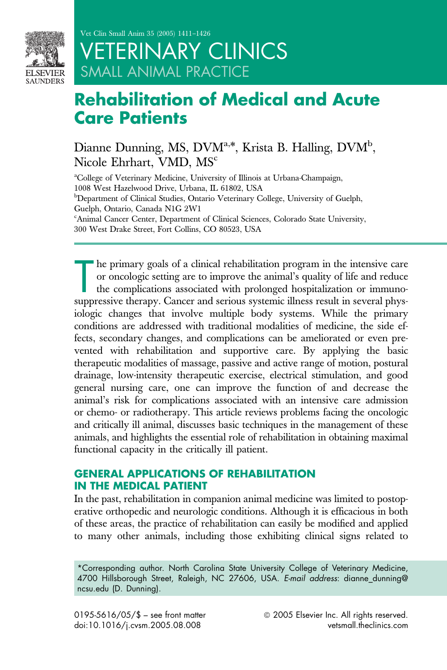Vet Clin Small Anim 35 (2005) 1411–1426



# VETERINARY CLINICS SMALL ANIMAL PRACTICE

## Rehabilitation of Medical and Acute Care Patients

Dianne Dunning, MS, DVM<sup>a,\*</sup>, Krista B. Halling, DVM<sup>b</sup>, Nicole Ehrhart, VMD, MSc

a College of Veterinary Medicine, University of Illinois at Urbana-Champaign, 1008 West Hazelwood Drive, Urbana, IL 61802, USA b Department of Clinical Studies, Ontario Veterinary College, University of Guelph, Guelph, Ontario, Canada N1G 2W1 c Animal Cancer Center, Department of Clinical Sciences, Colorado State University, 300 West Drake Street, Fort Collins, CO 80523, USA

The primary goals of a clinical rehabilitation program in the intensive care<br>or oncologic setting are to improve the animal's quality of life and reduce<br>the complications associated with prolonged hospitalization or immuno he primary goals of a clinical rehabilitation program in the intensive care or oncologic setting are to improve the animal's quality of life and reduce the complications associated with prolonged hospitalization or immunoiologic changes that involve multiple body systems. While the primary conditions are addressed with traditional modalities of medicine, the side effects, secondary changes, and complications can be ameliorated or even prevented with rehabilitation and supportive care. By applying the basic therapeutic modalities of massage, passive and active range of motion, postural drainage, low-intensity therapeutic exercise, electrical stimulation, and good general nursing care, one can improve the function of and decrease the animal's risk for complications associated with an intensive care admission or chemo- or radiotherapy. This article reviews problems facing the oncologic and critically ill animal, discusses basic techniques in the management of these animals, and highlights the essential role of rehabilitation in obtaining maximal functional capacity in the critically ill patient.

## GENERAL APPLICATIONS OF REHABILITATION IN THE MEDICAL PATIENT

In the past, rehabilitation in companion animal medicine was limited to postoperative orthopedic and neurologic conditions. Although it is efficacious in both of these areas, the practice of rehabilitation can easily be modified and applied to many other animals, including those exhibiting clinical signs related to

<sup>\*</sup>Corresponding author. North Carolina State University College of Veterinary Medicine, 4700 Hillsborough Street, Raleigh, NC 27606, USA. E-mail address: [dianne\\_dunning@](mailto:dianne_dunning@ncsu.edu) [ncsu.edu](mailto:dianne_dunning@ncsu.edu) (D. Dunning).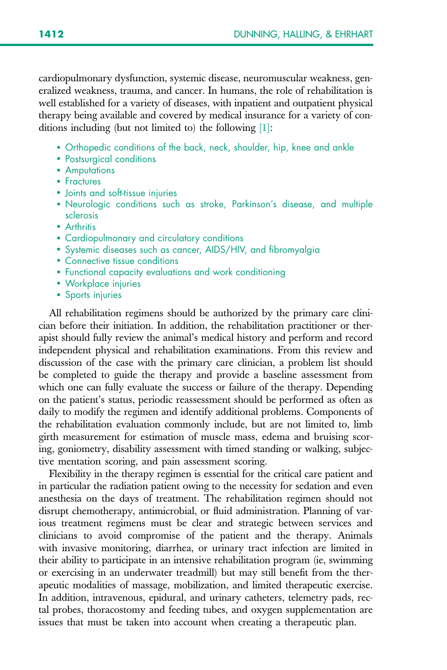cardiopulmonary dysfunction, systemic disease, neuromuscular weakness, generalized weakness, trauma, and cancer. In humans, the role of rehabilitation is well established for a variety of diseases, with inpatient and outpatient physical therapy being available and covered by medical insurance for a variety of conditions including (but not limited to) the following [\[1\]:](#page-13-0)

- ! Orthopedic conditions of the back, neck, shoulder, hip, knee and ankle
- Postsurgical conditions
- Amputations
- ! Fractures
- Joints and soft-tissue injuries
- ! Neurologic conditions such as stroke, Parkinson's disease, and multiple sclerosis
- Arthritis
- Cardiopulmonary and circulatory conditions
- ! Systemic diseases such as cancer, AIDS/HIV, and fibromyalgia
- Connective tissue conditions
- ! Functional capacity evaluations and work conditioning
- Workplace injuries
- Sports injuries

All rehabilitation regimens should be authorized by the primary care clinician before their initiation. In addition, the rehabilitation practitioner or therapist should fully review the animal's medical history and perform and record independent physical and rehabilitation examinations. From this review and discussion of the case with the primary care clinician, a problem list should be completed to guide the therapy and provide a baseline assessment from which one can fully evaluate the success or failure of the therapy. Depending on the patient's status, periodic reassessment should be performed as often as daily to modify the regimen and identify additional problems. Components of the rehabilitation evaluation commonly include, but are not limited to, limb girth measurement for estimation of muscle mass, edema and bruising scoring, goniometry, disability assessment with timed standing or walking, subjective mentation scoring, and pain assessment scoring.

Flexibility in the therapy regimen is essential for the critical care patient and in particular the radiation patient owing to the necessity for sedation and even anesthesia on the days of treatment. The rehabilitation regimen should not disrupt chemotherapy, antimicrobial, or fluid administration. Planning of various treatment regimens must be clear and strategic between services and clinicians to avoid compromise of the patient and the therapy. Animals with invasive monitoring, diarrhea, or urinary tract infection are limited in their ability to participate in an intensive rehabilitation program (ie, swimming or exercising in an underwater treadmill) but may still benefit from the therapeutic modalities of massage, mobilization, and limited therapeutic exercise. In addition, intravenous, epidural, and urinary catheters, telemetry pads, rectal probes, thoracostomy and feeding tubes, and oxygen supplementation are issues that must be taken into account when creating a therapeutic plan.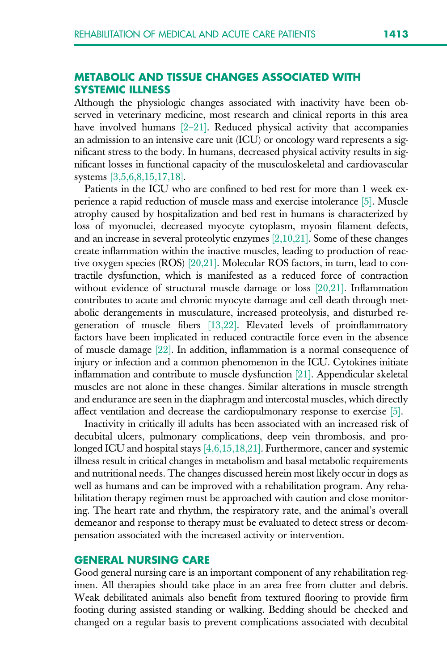## METABOLIC AND TISSUE CHANGES ASSOCIATED WITH SYSTEMIC ILLNESS

Although the physiologic changes associated with inactivity have been observed in veterinary medicine, most research and clinical reports in this area have involved humans  $[2-21]$ . Reduced physical activity that accompanies an admission to an intensive care unit (ICU) or oncology ward represents a significant stress to the body. In humans, decreased physical activity results in significant losses in functional capacity of the musculoskeletal and cardiovascular systems [\[3,5,6,8,15,17,18\]](#page-13-0).

Patients in the ICU who are confined to bed rest for more than 1 week experience a rapid reduction of muscle mass and exercise intolerance [\[5\].](#page-13-0) Muscle atrophy caused by hospitalization and bed rest in humans is characterized by loss of myonuclei, decreased myocyte cytoplasm, myosin filament defects, and an increase in several proteolytic enzymes  $[2,10,21]$ . Some of these changes create inflammation within the inactive muscles, leading to production of reactive oxygen species (ROS) [\[20,21\].](#page-14-0) Molecular ROS factors, in turn, lead to contractile dysfunction, which is manifested as a reduced force of contraction without evidence of structural muscle damage or loss [\[20,21\]](#page-14-0). Inflammation contributes to acute and chronic myocyte damage and cell death through metabolic derangements in musculature, increased proteolysis, and disturbed regeneration of muscle fibers [\[13,22\].](#page-13-0) Elevated levels of proinflammatory factors have been implicated in reduced contractile force even in the absence of muscle damage [\[22\]](#page-14-0). In addition, inflammation is a normal consequence of injury or infection and a common phenomenon in the ICU. Cytokines initiate inflammation and contribute to muscle dysfunction [\[21\].](#page-14-0) Appendicular skeletal muscles are not alone in these changes. Similar alterations in muscle strength and endurance are seen in the diaphragm and intercostal muscles, which directly affect ventilation and decrease the cardiopulmonary response to exercise [\[5\]](#page-13-0).

Inactivity in critically ill adults has been associated with an increased risk of decubital ulcers, pulmonary complications, deep vein thrombosis, and prolonged ICU and hospital stays [\[4,6,15,18,21\]](#page-13-0). Furthermore, cancer and systemic illness result in critical changes in metabolism and basal metabolic requirements and nutritional needs. The changes discussed herein most likely occur in dogs as well as humans and can be improved with a rehabilitation program. Any rehabilitation therapy regimen must be approached with caution and close monitoring. The heart rate and rhythm, the respiratory rate, and the animal's overall demeanor and response to therapy must be evaluated to detect stress or decompensation associated with the increased activity or intervention.

#### GENERAL NURSING CARE

Good general nursing care is an important component of any rehabilitation regimen. All therapies should take place in an area free from clutter and debris. Weak debilitated animals also benefit from textured flooring to provide firm footing during assisted standing or walking. Bedding should be checked and changed on a regular basis to prevent complications associated with decubital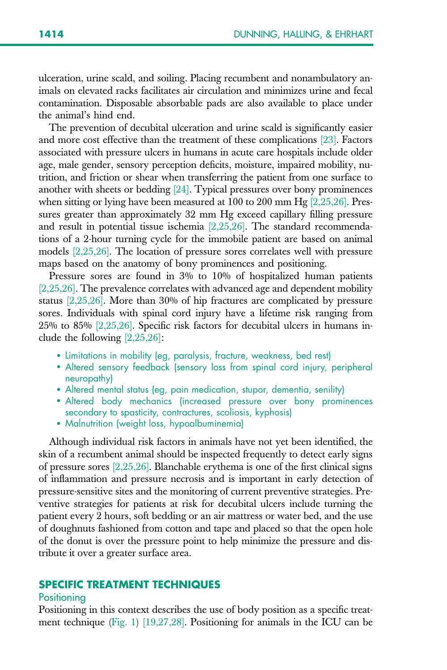ulceration, urine scald, and soiling. Placing recumbent and nonambulatory animals on elevated racks facilitates air circulation and minimizes urine and fecal contamination. Disposable absorbable pads are also available to place under the animal's hind end.

The prevention of decubital ulceration and urine scald is significantly easier and more cost effective than the treatment of these complications [\[23\]](#page-14-0). Factors associated with pressure ulcers in humans in acute care hospitals include older age, male gender, sensory perception deficits, moisture, impaired mobility, nutrition, and friction or shear when transferring the patient from one surface to another with sheets or bedding [\[24\].](#page-14-0) Typical pressures over bony prominences when sitting or lying have been measured at 100 to 200 mm Hg [\[2,25,26\]](#page-13-0). Pressures greater than approximately 32 mm Hg exceed capillary filling pressure and result in potential tissue ischemia  $[2,25,26]$ . The standard recommendations of a 2-hour turning cycle for the immobile patient are based on animal models [\[2,25,26\].](#page-13-0) The location of pressure sores correlates well with pressure maps based on the anatomy of bony prominences and positioning.

Pressure sores are found in 3% to 10% of hospitalized human patients [\[2,25,26\].](#page-13-0) The prevalence correlates with advanced age and dependent mobility status [\[2,25,26\].](#page-13-0) More than 30% of hip fractures are complicated by pressure sores. Individuals with spinal cord injury have a lifetime risk ranging from 25% to 85% [\[2,25,26\].](#page-13-0) Specific risk factors for decubital ulcers in humans include the following  $[2,25,26]$ :

- Limitations in mobility (eg, paralysis, fracture, weakness, bed rest)
- ! Altered sensory feedback (sensory loss from spinal cord injury, peripheral neuropathy)
- Altered mental status (eg, pain medication, stupor, dementia, senility)
- ! Altered body mechanics (increased pressure over bony prominences secondary to spasticity, contractures, scoliosis, kyphosis)
- Malnutrition (weight loss, hypoalbuminemia)

Although individual risk factors in animals have not yet been identified, the skin of a recumbent animal should be inspected frequently to detect early signs of pressure sores [\[2,25,26\]](#page-13-0). Blanchable erythema is one of the first clinical signs of inflammation and pressure necrosis and is important in early detection of pressure-sensitive sites and the monitoring of current preventive strategies. Preventive strategies for patients at risk for decubital ulcers include turning the patient every 2 hours, soft bedding or an air mattress or water bed, and the use of doughnuts fashioned from cotton and tape and placed so that the open hole of the donut is over the pressure point to help minimize the pressure and distribute it over a greater surface area.

## SPECIFIC TREATMENT TECHNIQUES

#### Positioning

Positioning in this context describes the use of body position as a specific treatment technique ([Fig. 1](#page-4-0)) [\[19,27,28\]](#page-14-0). Positioning for animals in the ICU can be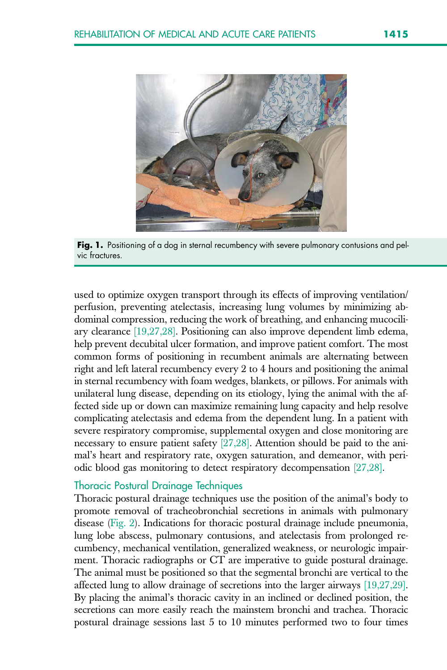<span id="page-4-0"></span>

Fig. 1. Positioning of a dog in sternal recumbency with severe pulmonary contusions and pelvic fractures.

used to optimize oxygen transport through its effects of improving ventilation/ perfusion, preventing atelectasis, increasing lung volumes by minimizing abdominal compression, reducing the work of breathing, and enhancing mucociliary clearance [\[19,27,28\].](#page-14-0) Positioning can also improve dependent limb edema, help prevent decubital ulcer formation, and improve patient comfort. The most common forms of positioning in recumbent animals are alternating between right and left lateral recumbency every 2 to 4 hours and positioning the animal in sternal recumbency with foam wedges, blankets, or pillows. For animals with unilateral lung disease, depending on its etiology, lying the animal with the affected side up or down can maximize remaining lung capacity and help resolve complicating atelectasis and edema from the dependent lung. In a patient with severe respiratory compromise, supplemental oxygen and close monitoring are necessary to ensure patient safety [\[27,28\]](#page-14-0). Attention should be paid to the animal's heart and respiratory rate, oxygen saturation, and demeanor, with periodic blood gas monitoring to detect respiratory decompensation [\[27,28\]](#page-14-0).

#### Thoracic Postural Drainage Techniques

Thoracic postural drainage techniques use the position of the animal's body to promote removal of tracheobronchial secretions in animals with pulmonary disease ([Fig. 2](#page-5-0)). Indications for thoracic postural drainage include pneumonia, lung lobe abscess, pulmonary contusions, and atelectasis from prolonged recumbency, mechanical ventilation, generalized weakness, or neurologic impairment. Thoracic radiographs or CT are imperative to guide postural drainage. The animal must be positioned so that the segmental bronchi are vertical to the affected lung to allow drainage of secretions into the larger airways [\[19,27,29\]](#page-14-0). By placing the animal's thoracic cavity in an inclined or declined position, the secretions can more easily reach the mainstem bronchi and trachea. Thoracic postural drainage sessions last 5 to 10 minutes performed two to four times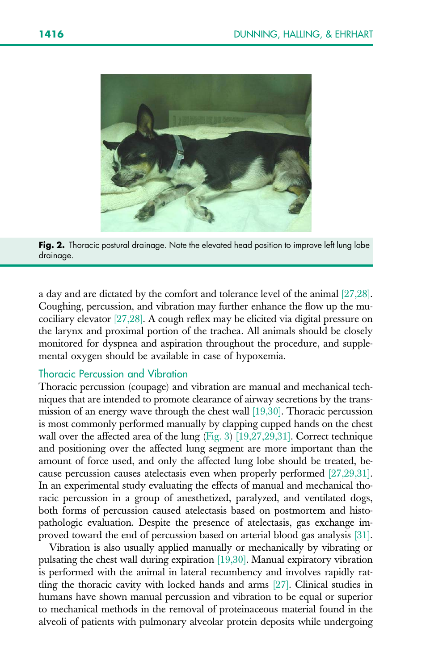<span id="page-5-0"></span>

Fig. 2. Thoracic postural drainage. Note the elevated head position to improve left lung lobe drainage.

a day and are dictated by the comfort and tolerance level of the animal [\[27,28\].](#page-14-0) Coughing, percussion, and vibration may further enhance the flow up the mucociliary elevator [\[27,28\].](#page-14-0) A cough reflex may be elicited via digital pressure on the larynx and proximal portion of the trachea. All animals should be closely monitored for dyspnea and aspiration throughout the procedure, and supplemental oxygen should be available in case of hypoxemia.

## Thoracic Percussion and Vibration

Thoracic percussion (coupage) and vibration are manual and mechanical techniques that are intended to promote clearance of airway secretions by the transmission of an energy wave through the chest wall [\[19,30\].](#page-14-0) Thoracic percussion is most commonly performed manually by clapping cupped hands on the chest wall over the affected area of the lung [\(Fig. 3](#page-6-0)) [\[19,27,29,31\].](#page-14-0) Correct technique and positioning over the affected lung segment are more important than the amount of force used, and only the affected lung lobe should be treated, because percussion causes atelectasis even when properly performed [\[27,29,31\].](#page-14-0) In an experimental study evaluating the effects of manual and mechanical thoracic percussion in a group of anesthetized, paralyzed, and ventilated dogs, both forms of percussion caused atelectasis based on postmortem and histopathologic evaluation. Despite the presence of atelectasis, gas exchange improved toward the end of percussion based on arterial blood gas analysis [\[31\].](#page-14-0)

Vibration is also usually applied manually or mechanically by vibrating or pulsating the chest wall during expiration [\[19,30\].](#page-14-0) Manual expiratory vibration is performed with the animal in lateral recumbency and involves rapidly rattling the thoracic cavity with locked hands and arms [\[27\]](#page-14-0). Clinical studies in humans have shown manual percussion and vibration to be equal or superior to mechanical methods in the removal of proteinaceous material found in the alveoli of patients with pulmonary alveolar protein deposits while undergoing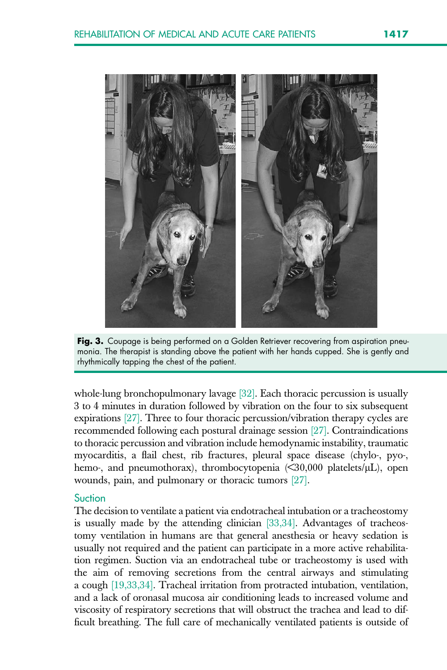<span id="page-6-0"></span>

Fig. 3. Coupage is being performed on a Golden Retriever recovering from aspiration pneumonia. The therapist is standing above the patient with her hands cupped. She is gently and rhythmically tapping the chest of the patient.

whole-lung bronchopulmonary lavage [\[32\]](#page-14-0). Each thoracic percussion is usually 3 to 4 minutes in duration followed by vibration on the four to six subsequent expirations [\[27\]](#page-14-0). Three to four thoracic percussion/vibration therapy cycles are recommended following each postural drainage session [\[27\].](#page-14-0) Contraindications to thoracic percussion and vibration include hemodynamic instability, traumatic myocarditis, a flail chest, rib fractures, pleural space disease (chylo-, pyo-, hemo-, and pneumothorax), thrombocytopenia  $\langle 30,000 \rangle$  platelets/ $\mu$ L), open wounds, pain, and pulmonary or thoracic tumors [\[27\].](#page-14-0)

#### Suction

The decision to ventilate a patient via endotracheal intubation or a tracheostomy is usually made by the attending clinician [\[33,34\]](#page-14-0). Advantages of tracheostomy ventilation in humans are that general anesthesia or heavy sedation is usually not required and the patient can participate in a more active rehabilitation regimen. Suction via an endotracheal tube or tracheostomy is used with the aim of removing secretions from the central airways and stimulating a cough [\[19,33,34\].](#page-14-0) Tracheal irritation from protracted intubation, ventilation, and a lack of oronasal mucosa air conditioning leads to increased volume and viscosity of respiratory secretions that will obstruct the trachea and lead to difficult breathing. The full care of mechanically ventilated patients is outside of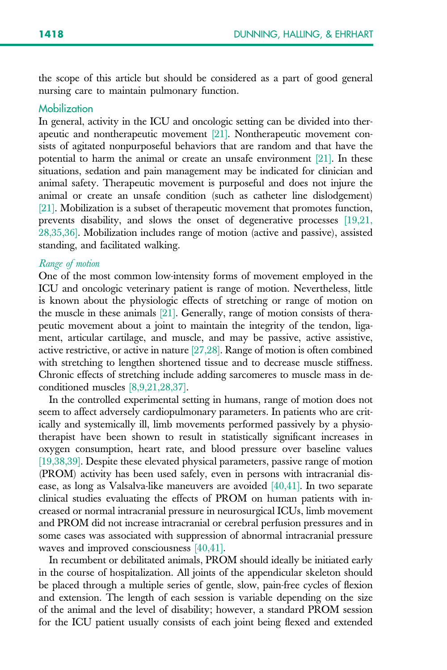the scope of this article but should be considered as a part of good general nursing care to maintain pulmonary function.

#### Mobilization

In general, activity in the ICU and oncologic setting can be divided into therapeutic and nontherapeutic movement [\[21\].](#page-14-0) Nontherapeutic movement consists of agitated nonpurposeful behaviors that are random and that have the potential to harm the animal or create an unsafe environment [\[21\]](#page-14-0). In these situations, sedation and pain management may be indicated for clinician and animal safety. Therapeutic movement is purposeful and does not injure the animal or create an unsafe condition (such as catheter line dislodgement) [\[21\].](#page-14-0) Mobilization is a subset of therapeutic movement that promotes function, prevents disability, and slows the onset of degenerative processes [\[19,21,](#page-14-0) [28,35,36\]](#page-14-0). Mobilization includes range of motion (active and passive), assisted standing, and facilitated walking.

#### Range of motion

One of the most common low-intensity forms of movement employed in the ICU and oncologic veterinary patient is range of motion. Nevertheless, little is known about the physiologic effects of stretching or range of motion on the muscle in these animals  $[21]$ . Generally, range of motion consists of therapeutic movement about a joint to maintain the integrity of the tendon, ligament, articular cartilage, and muscle, and may be passive, active assistive, active restrictive, or active in nature  $[27,28]$ . Range of motion is often combined with stretching to lengthen shortened tissue and to decrease muscle stiffness. Chronic effects of stretching include adding sarcomeres to muscle mass in deconditioned muscles [\[8,9,21,28,37\].](#page-13-0)

In the controlled experimental setting in humans, range of motion does not seem to affect adversely cardiopulmonary parameters. In patients who are critically and systemically ill, limb movements performed passively by a physiotherapist have been shown to result in statistically significant increases in oxygen consumption, heart rate, and blood pressure over baseline values [\[19,38,39\].](#page-14-0) Despite these elevated physical parameters, passive range of motion (PROM) activity has been used safely, even in persons with intracranial disease, as long as Valsalva-like maneuvers are avoided [\[40,41\].](#page-14-0) In two separate clinical studies evaluating the effects of PROM on human patients with increased or normal intracranial pressure in neurosurgical ICUs, limb movement and PROM did not increase intracranial or cerebral perfusion pressures and in some cases was associated with suppression of abnormal intracranial pressure waves and improved consciousness [\[40,41\].](#page-14-0)

In recumbent or debilitated animals, PROM should ideally be initiated early in the course of hospitalization. All joints of the appendicular skeleton should be placed through a multiple series of gentle, slow, pain-free cycles of flexion and extension. The length of each session is variable depending on the size of the animal and the level of disability; however, a standard PROM session for the ICU patient usually consists of each joint being flexed and extended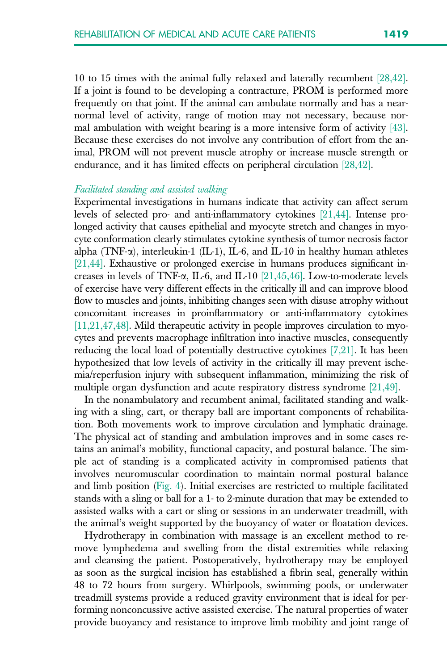10 to 15 times with the animal fully relaxed and laterally recumbent [\[28,42\]](#page-14-0). If a joint is found to be developing a contracture, PROM is performed more frequently on that joint. If the animal can ambulate normally and has a nearnormal level of activity, range of motion may not necessary, because normal ambulation with weight bearing is a more intensive form of activity [\[43\]](#page-15-0). Because these exercises do not involve any contribution of effort from the animal, PROM will not prevent muscle atrophy or increase muscle strength or endurance, and it has limited effects on peripheral circulation [\[28,42\]](#page-14-0).

#### Facilitated standing and assisted walking

Experimental investigations in humans indicate that activity can affect serum levels of selected pro- and anti-inflammatory cytokines [\[21,44\]](#page-14-0). Intense prolonged activity that causes epithelial and myocyte stretch and changes in myocyte conformation clearly stimulates cytokine synthesis of tumor necrosis factor alpha (TNF- $\alpha$ ), interleukin-1 (IL-1), IL-6, and IL-10 in healthy human athletes [\[21,44\].](#page-14-0) Exhaustive or prolonged exercise in humans produces significant increases in levels of TNF-a, IL-6, and IL-10 [\[21,45,46\].](#page-14-0) Low-to-moderate levels of exercise have very different effects in the critically ill and can improve blood flow to muscles and joints, inhibiting changes seen with disuse atrophy without concomitant increases in proinflammatory or anti-inflammatory cytokines [\[11,21,47,48\].](#page-13-0) Mild therapeutic activity in people improves circulation to myocytes and prevents macrophage infiltration into inactive muscles, consequently reducing the local load of potentially destructive cytokines [\[7,21\]](#page-13-0). It has been hypothesized that low levels of activity in the critically ill may prevent ischemia/reperfusion injury with subsequent inflammation, minimizing the risk of multiple organ dysfunction and acute respiratory distress syndrome [\[21,49\].](#page-14-0)

In the nonambulatory and recumbent animal, facilitated standing and walking with a sling, cart, or therapy ball are important components of rehabilitation. Both movements work to improve circulation and lymphatic drainage. The physical act of standing and ambulation improves and in some cases retains an animal's mobility, functional capacity, and postural balance. The simple act of standing is a complicated activity in compromised patients that involves neuromuscular coordination to maintain normal postural balance and limb position [\(Fig. 4\)](#page-9-0). Initial exercises are restricted to multiple facilitated stands with a sling or ball for a 1- to 2-minute duration that may be extended to assisted walks with a cart or sling or sessions in an underwater treadmill, with the animal's weight supported by the buoyancy of water or floatation devices.

Hydrotherapy in combination with massage is an excellent method to remove lymphedema and swelling from the distal extremities while relaxing and cleansing the patient. Postoperatively, hydrotherapy may be employed as soon as the surgical incision has established a fibrin seal, generally within 48 to 72 hours from surgery. Whirlpools, swimming pools, or underwater treadmill systems provide a reduced gravity environment that is ideal for performing nonconcussive active assisted exercise. The natural properties of water provide buoyancy and resistance to improve limb mobility and joint range of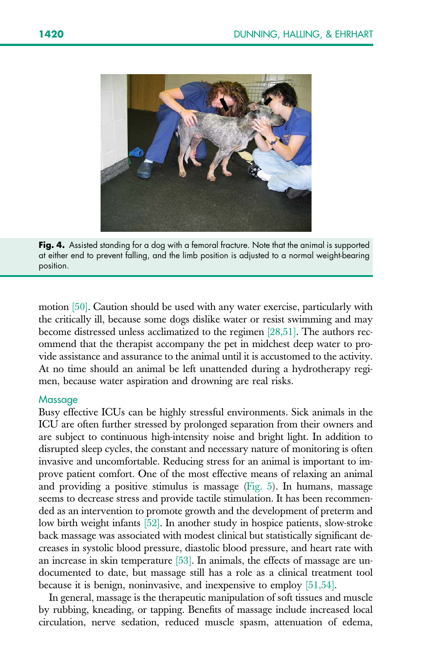<span id="page-9-0"></span>

Fig. 4. Assisted standing for a dog with a femoral fracture. Note that the animal is supported at either end to prevent falling, and the limb position is adjusted to a normal weight-bearing position.

motion [\[50\].](#page-15-0) Caution should be used with any water exercise, particularly with the critically ill, because some dogs dislike water or resist swimming and may become distressed unless acclimatized to the regimen [\[28,51\]](#page-14-0). The authors recommend that the therapist accompany the pet in midchest deep water to provide assistance and assurance to the animal until it is accustomed to the activity. At no time should an animal be left unattended during a hydrotherapy regimen, because water aspiration and drowning are real risks.

#### Massage

Busy effective ICUs can be highly stressful environments. Sick animals in the ICU are often further stressed by prolonged separation from their owners and are subject to continuous high-intensity noise and bright light. In addition to disrupted sleep cycles, the constant and necessary nature of monitoring is often invasive and uncomfortable. Reducing stress for an animal is important to improve patient comfort. One of the most effective means of relaxing an animal and providing a positive stimulus is massage [\(Fig. 5](#page-10-0)). In humans, massage seems to decrease stress and provide tactile stimulation. It has been recommended as an intervention to promote growth and the development of preterm and low birth weight infants [\[52\]](#page-15-0). In another study in hospice patients, slow-stroke back massage was associated with modest clinical but statistically significant decreases in systolic blood pressure, diastolic blood pressure, and heart rate with an increase in skin temperature [\[53\]](#page-15-0). In animals, the effects of massage are undocumented to date, but massage still has a role as a clinical treatment tool because it is benign, noninvasive, and inexpensive to employ [\[51,54\]](#page-15-0).

In general, massage is the therapeutic manipulation of soft tissues and muscle by rubbing, kneading, or tapping. Benefits of massage include increased local circulation, nerve sedation, reduced muscle spasm, attenuation of edema,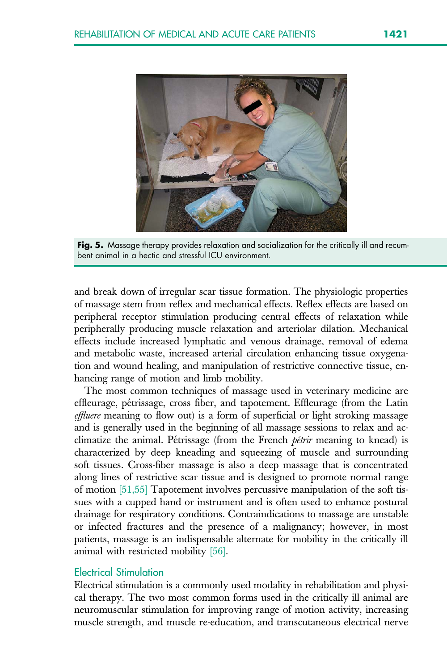<span id="page-10-0"></span>



and break down of irregular scar tissue formation. The physiologic properties of massage stem from reflex and mechanical effects. Reflex effects are based on peripheral receptor stimulation producing central effects of relaxation while peripherally producing muscle relaxation and arteriolar dilation. Mechanical effects include increased lymphatic and venous drainage, removal of edema and metabolic waste, increased arterial circulation enhancing tissue oxygenation and wound healing, and manipulation of restrictive connective tissue, enhancing range of motion and limb mobility.

The most common techniques of massage used in veterinary medicine are effleurage, pétrissage, cross fiber, and tapotement. Effleurage (from the Latin effluere meaning to flow out) is a form of superficial or light stroking massage and is generally used in the beginning of all massage sessions to relax and acclimatize the animal. Pétrissage (from the French *pétrir* meaning to knead) is characterized by deep kneading and squeezing of muscle and surrounding soft tissues. Cross-fiber massage is also a deep massage that is concentrated along lines of restrictive scar tissue and is designed to promote normal range of motion [\[51,55\]](#page-15-0) Tapotement involves percussive manipulation of the soft tissues with a cupped hand or instrument and is often used to enhance postural drainage for respiratory conditions. Contraindications to massage are unstable or infected fractures and the presence of a malignancy; however, in most patients, massage is an indispensable alternate for mobility in the critically ill animal with restricted mobility [\[56\]](#page-15-0).

## Electrical Stimulation

Electrical stimulation is a commonly used modality in rehabilitation and physical therapy. The two most common forms used in the critically ill animal are neuromuscular stimulation for improving range of motion activity, increasing muscle strength, and muscle re-education, and transcutaneous electrical nerve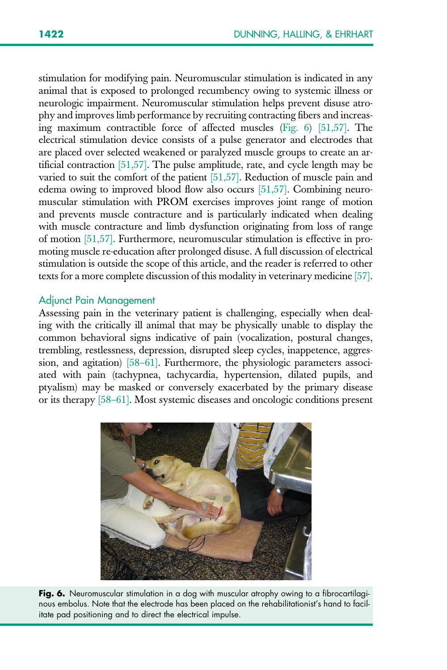stimulation for modifying pain. Neuromuscular stimulation is indicated in any animal that is exposed to prolonged recumbency owing to systemic illness or neurologic impairment. Neuromuscular stimulation helps prevent disuse atrophy and improves limb performance by recruiting contracting fibers and increasing maximum contractible force of affected muscles (Fig. 6) [\[51,57\]](#page-15-0). The electrical stimulation device consists of a pulse generator and electrodes that are placed over selected weakened or paralyzed muscle groups to create an artificial contraction [\[51,57\].](#page-15-0) The pulse amplitude, rate, and cycle length may be varied to suit the comfort of the patient [\[51,57\]](#page-15-0). Reduction of muscle pain and edema owing to improved blood flow also occurs [\[51,57\]](#page-15-0). Combining neuromuscular stimulation with PROM exercises improves joint range of motion and prevents muscle contracture and is particularly indicated when dealing with muscle contracture and limb dysfunction originating from loss of range of motion [\[51,57\]](#page-15-0). Furthermore, neuromuscular stimulation is effective in promoting muscle re-education after prolonged disuse. A full discussion of electrical stimulation is outside the scope of this article, and the reader is referred to other texts for a more complete discussion of this modality in veterinary medicine [\[57\].](#page-15-0)

#### Adjunct Pain Management

Assessing pain in the veterinary patient is challenging, especially when dealing with the critically ill animal that may be physically unable to display the common behavioral signs indicative of pain (vocalization, postural changes, trembling, restlessness, depression, disrupted sleep cycles, inappetence, aggression, and agitation) [\[58–61\].](#page-15-0) Furthermore, the physiologic parameters associated with pain (tachypnea, tachycardia, hypertension, dilated pupils, and ptyalism) may be masked or conversely exacerbated by the primary disease or its therapy [\[58–61\].](#page-15-0) Most systemic diseases and oncologic conditions present



Fig. 6. Neuromuscular stimulation in a dog with muscular atrophy owing to a fibrocartilaginous embolus. Note that the electrode has been placed on the rehabilitationist's hand to facilitate pad positioning and to direct the electrical impulse.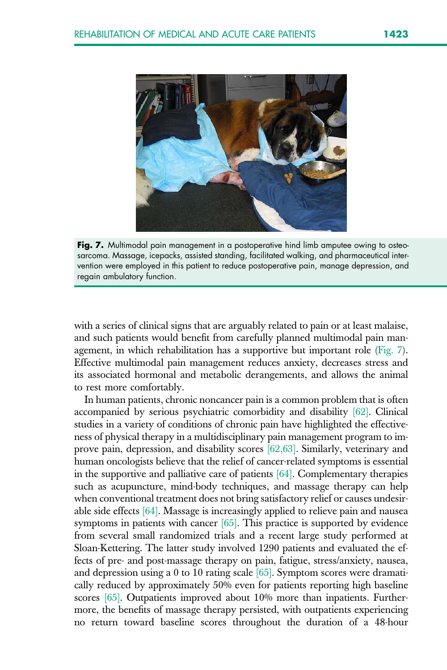

Fig. 7. Multimodal pain management in a postoperative hind limb amputee owing to osteosarcoma. Massage, icepacks, assisted standing, facilitated walking, and pharmaceutical intervention were employed in this patient to reduce postoperative pain, manage depression, and regain ambulatory function.

with a series of clinical signs that are arguably related to pain or at least malaise, and such patients would benefit from carefully planned multimodal pain management, in which rehabilitation has a supportive but important role (Fig. 7). Effective multimodal pain management reduces anxiety, decreases stress and its associated hormonal and metabolic derangements, and allows the animal to rest more comfortably.

In human patients, chronic noncancer pain is a common problem that is often accompanied by serious psychiatric comorbidity and disability [\[62\]](#page-15-0). Clinical studies in a variety of conditions of chronic pain have highlighted the effectiveness of physical therapy in a multidisciplinary pain management program to improve pain, depression, and disability scores [\[62,63\]](#page-15-0). Similarly, veterinary and human oncologists believe that the relief of cancer-related symptoms is essential in the supportive and palliative care of patients [\[64\]](#page-15-0). Complementary therapies such as acupuncture, mind-body techniques, and massage therapy can help when conventional treatment does not bring satisfactory relief or causes undesir-able side effects [\[64\].](#page-15-0) Massage is increasingly applied to relieve pain and nausea symptoms in patients with cancer [\[65\]](#page-15-0). This practice is supported by evidence from several small randomized trials and a recent large study performed at Sloan-Kettering. The latter study involved 1290 patients and evaluated the effects of pre- and post-massage therapy on pain, fatigue, stress/anxiety, nausea, and depression using a 0 to 10 rating scale [\[65\].](#page-15-0) Symptom scores were dramatically reduced by approximately 50% even for patients reporting high baseline scores [\[65\]](#page-15-0). Outpatients improved about 10% more than inpatients. Furthermore, the benefits of massage therapy persisted, with outpatients experiencing no return toward baseline scores throughout the duration of a 48-hour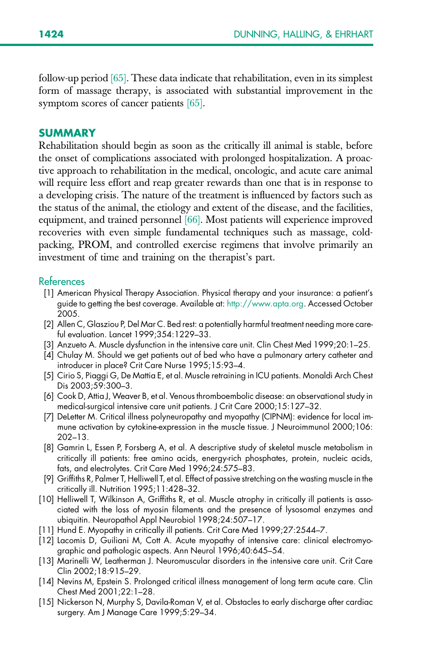<span id="page-13-0"></span>follow-up period [\[65\]](#page-15-0). These data indicate that rehabilitation, even in its simplest form of massage therapy, is associated with substantial improvement in the symptom scores of cancer patients [\[65\].](#page-15-0)

## **SUMMARY**

Rehabilitation should begin as soon as the critically ill animal is stable, before the onset of complications associated with prolonged hospitalization. A proactive approach to rehabilitation in the medical, oncologic, and acute care animal will require less effort and reap greater rewards than one that is in response to a developing crisis. The nature of the treatment is influenced by factors such as the status of the animal, the etiology and extent of the disease, and the facilities, equipment, and trained personnel [\[66\].](#page-15-0) Most patients will experience improved recoveries with even simple fundamental techniques such as massage, coldpacking, PROM, and controlled exercise regimens that involve primarily an investment of time and training on the therapist's part.

#### References

- [1] American Physical Therapy Association. Physical therapy and your insurance: a patient's guide to getting the best coverage. Available at: <http://www.apta.org>. Accessed October 2005.
- [2] Allen C, Glasziou P, Del Mar C. Bed rest: a potentially harmful treatment needing more careful evaluation. Lancet 1999;354:1229–33.
- [3] Anzueto A. Muscle dysfunction in the intensive care unit. Clin Chest Med 1999;20:1–25.
- [4] Chulay M. Should we get patients out of bed who have a pulmonary artery catheter and introducer in place? Crit Care Nurse 1995;15:93–4.
- [5] Cirio S, Piaggi G, De Mattia E, et al. Muscle retraining in ICU patients. Monaldi Arch Chest Dis 2003;59:300–3.
- [6] Cook D, Attia J, Weaver B, et al. Venous thromboembolic disease: an observational study in medical-surgical intensive care unit patients. J Crit Care 2000;15:127–32.
- [7] DeLetter M. Critical illness polyneuropathy and myopathy (CIPNM): evidence for local immune activation by cytokine-expression in the muscle tissue. J Neuroimmunol 2000;106: 202–13.
- [8] Gamrin L, Essen P, Forsberg A, et al. A descriptive study of skeletal muscle metabolism in critically ill patients: free amino acids, energy-rich phosphates, protein, nucleic acids, fats, and electrolytes. Crit Care Med 1996;24:575–83.
- [9] Griffiths R, Palmer T, Helliwell T, et al. Effect of passive stretching on the wasting muscle in the critically ill. Nutrition 1995;11:428–32.
- [10] Helliwell T, Wilkinson A, Griffiths R, et al. Muscle atrophy in critically ill patients is associated with the loss of myosin filaments and the presence of lysosomal enzymes and ubiquitin. Neuropathol Appl Neurobiol 1998;24:507–17.
- [11] Hund E. Myopathy in critically ill patients. Crit Care Med 1999;27:2544-7.
- [12] Lacomis D, Guiliani M, Cott A. Acute myopathy of intensive care: clinical electromyographic and pathologic aspects. Ann Neurol 1996;40:645–54.
- [13] Marinelli W, Leatherman J. Neuromuscular disorders in the intensive care unit. Crit Care Clin 2002;18:915–29.
- [14] Nevins M, Epstein S. Prolonged critical illness management of long term acute care. Clin Chest Med 2001;22:1–28.
- [15] Nickerson N, Murphy S, Davila-Roman V, et al. Obstacles to early discharge after cardiac surgery. Am J Manage Care 1999;5:29–34.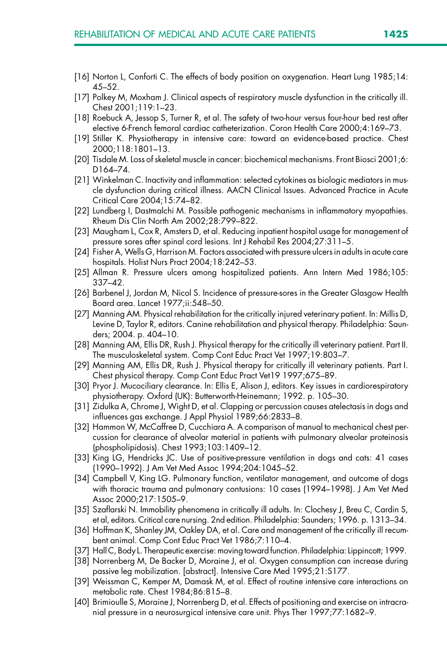- <span id="page-14-0"></span>[16] Norton L, Conforti C. The effects of body position on oxygenation. Heart Lung 1985;14: 45–52.
- [17] Polkey M, Moxham J. Clinical aspects of respiratory muscle dysfunction in the critically ill. Chest 2001;119:1–23.
- [18] Roebuck A, Jessop S, Turner R, et al. The safety of two-hour versus four-hour bed rest after elective 6-French femoral cardiac catheterization. Coron Health Care 2000;4:169–73.
- [19] Stiller K. Physiotherapy in intensive care: toward an evidence-based practice. Chest 2000;118:1801–13.
- [20] Tisdale M. Loss of skeletal muscle in cancer: biochemical mechanisms. Front Biosci 2001;6: D164–74.
- [21] Winkelman C. Inactivity and inflammation: selected cytokines as biologic mediators in muscle dysfunction during critical illness. AACN Clinical Issues. Advanced Practice in Acute Critical Care 2004;15:74–82.
- [22] Lundberg I, Dastmalchi M. Possible pathogenic mechanisms in inflammatory myopathies. Rheum Dis Clin North Am 2002;28:799–822.
- [23] Maugham L, Cox R, Amsters D, et al. Reducing inpatient hospital usage for management of pressure sores after spinal cord lesions. Int J Rehabil Res 2004;27:311–5.
- [24] Fisher A,Wells G, Harrison M. Factors associated with pressure ulcers in adults in acute care hospitals. Holist Nurs Pract 2004;18:242–53.
- [25] Allman R. Pressure ulcers among hospitalized patients. Ann Intern Med 1986;105: 337–42.
- [26] Barbenel J, Jordan M, Nicol S. Incidence of pressure-sores in the Greater Glasgow Health Board area. Lancet 1977;ii:548–50.
- [27] Manning AM. Physical rehabilitation for the critically injured veterinary patient. In: Millis D, Levine D, Taylor R, editors. Canine rehabilitation and physical therapy. Philadelphia: Saunders; 2004. p. 404–10.
- [28] Manning AM, Ellis DR, Rush J. Physical therapy for the critically ill veterinary patient. Part II. The musculoskeletal system. Comp Cont Educ Pract Vet 1997;19:803–7.
- [29] Manning AM, Ellis DR, Rush J. Physical therapy for critically ill veterinary patients. Part I. Chest physical therapy. Comp Cont Educ Pract Vet19 1997;675–89.
- [30] Pryor J. Mucociliary clearance. In: Ellis E, Alison J, editors. Key issues in cardiorespiratory physiotherapy. Oxford (UK): Butterworth-Heinemann; 1992. p. 105–30.
- [31] Zidulka A, Chrome J, Wight D, et al. Clapping or percussion causes atelectasis in dogs and influences gas exchange. J Appl Physiol 1989;66:2833–8.
- [32] Hammon W, McCaffree D, Cucchiara A. A comparison of manual to mechanical chest percussion for clearance of alveolar material in patients with pulmonary alveolar proteinosis (phospholipidosis). Chest 1993;103:1409–12.
- [33] King LG, Hendricks JC. Use of positive-pressure ventilation in dogs and cats: 41 cases (1990–1992). J Am Vet Med Assoc 1994;204:1045–52.
- [34] Campbell V, King LG. Pulmonary function, ventilator management, and outcome of dogs with thoracic trauma and pulmonary contusions: 10 cases (1994–1998). J Am Vet Med Assoc 2000;217:1505–9.
- [35] Szaflarski N. Immobility phenomena in critically ill adults. In: Clochesy J, Breu C, Cardin S, et al, editors. Critical care nursing. 2nd edition. Philadelphia: Saunders; 1996. p. 1313–34.
- [36] Hoffman K, Shanley JM, Oakley DA, et al. Care and management of the critically ill recumbent animal. Comp Cont Educ Pract Vet 1986;7:110–4.
- [37] Hall C, Body L. Therapeutic exercise: moving toward function. Philadelphia: Lippincott; 1999.
- [38] Norrenberg M, De Backer D, Moraine J, et al. Oxygen consumption can increase during passive leg mobilization. [abstract]. Intensive Care Med 1995;21:S177.
- [39] Weissman C, Kemper M, Damask M, et al. Effect of routine intensive care interactions on metabolic rate. Chest 1984;86:815–8.
- [40] Brimioulle S, Moraine J, Norrenberg D, et al. Effects of positioning and exercise on intracranial pressure in a neurosurgical intensive care unit. Phys Ther 1997;77:1682–9.